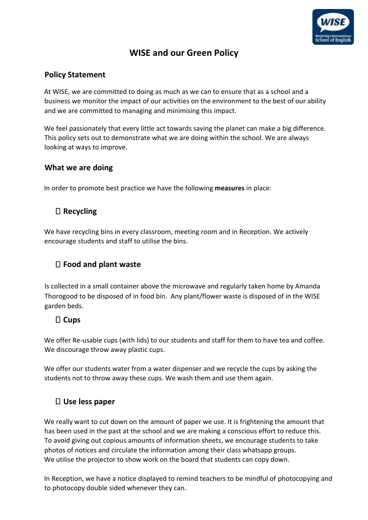

# **WISE and our Green Policy**

#### **Policy Statement**

At WISE, we are committed to doing as much as we can to ensure that as a school and a business we monitor the impact of our activities on the environment to the best of our ability and we are committed to managing and minimising this impact.

We feel passionately that every little act towards saving the planet can make a big difference. This policy sets out to demonstrate what we are doing within the school. We are always looking at ways to improve.

#### **What we are doing**

In order to promote best practice we have the following **measures** in place:

## **Recycling**

We have recycling bins in every classroom, meeting room and in Reception. We actively encourage students and staff to utilise the bins.

## **Food and plant waste**

Is collected in a small container above the microwave and regularly taken home by Amanda Thorogood to be disposed of in food bin. Any plant/flower waste is disposed of in the WISE garden beds.

# **Cups**

We offer Re-usable cups (with lids) to our students and staff for them to have tea and coffee. We discourage throw away plastic cups.

We offer our students water from a water dispenser and we recycle the cups by asking the students not to throw away these cups. We wash them and use them again.

#### **Use less paper**

We really want to cut down on the amount of paper we use. It is frightening the amount that has been used in the past at the school and we are making a conscious effort to reduce this. To avoid giving out copious amounts of information sheets, we encourage students to take photos of notices and circulate the information among their class whatsapp groups. We utilise the projector to show work on the board that students can copy down.

In Reception, we have a notice displayed to remind teachers to be mindful of photocopying and to photocopy double sided whenever they can.